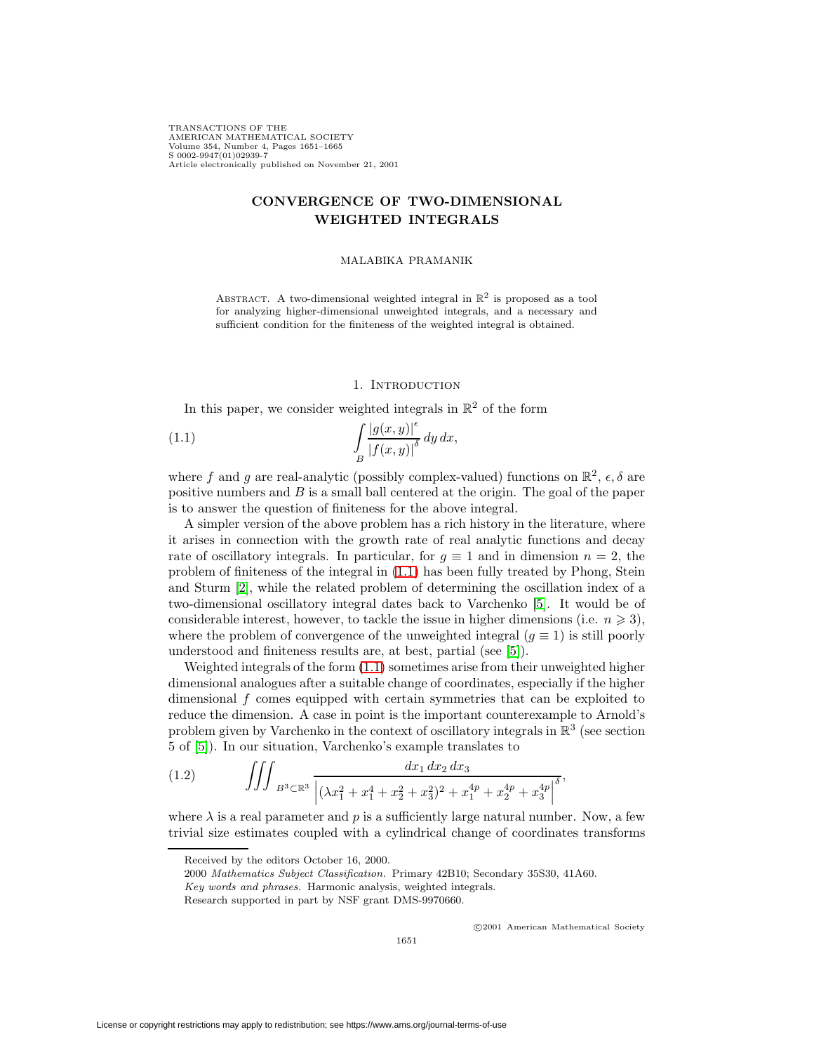TRANSACTIONS OF THE AMERICAN MATHEMATICAL SOCIETY Volume 354, Number 4, Pages 1651–1665 S 0002-9947(01)02939-7 Article electronically published on November 21, 2001

# **CONVERGENCE OF TWO-DIMENSIONAL WEIGHTED INTEGRALS**

#### MALABIKA PRAMANIK

ABSTRACT. A two-dimensional weighted integral in  $\mathbb{R}^2$  is proposed as a tool for analyzing higher-dimensional unweighted integrals, and a necessary and sufficient condition for the finiteness of the weighted integral is obtained.

## 1. INTRODUCTION

 $\sim$   $\sim$ 

In this paper, we consider weighted integrals in  $\mathbb{R}^2$  of the form

<span id="page-0-0"></span>(1.1) 
$$
\int_{B} \frac{|g(x,y)|^{\epsilon}}{|f(x,y)|^{\delta}} dy dx,
$$

where f and g are real-analytic (possibly complex-valued) functions on  $\mathbb{R}^2$ ,  $\epsilon$ ,  $\delta$  are positive numbers and  $B$  is a small ball centered at the origin. The goal of the paper is to answer the question of finiteness for the above integral.

A simpler version of the above problem has a rich history in the literature, where it arises in connection with the growth rate of real analytic functions and decay rate of oscillatory integrals. In particular, for  $g \equiv 1$  and in dimension  $n = 2$ , the problem of finiteness of the integral in [\(1.1\)](#page-0-0) has been fully treated by Phong, Stein and Sturm [\[2\]](#page-14-0), while the related problem of determining the oscillation index of a two-dimensional oscillatory integral dates back to Varchenko [\[5\]](#page-14-1). It would be of considerable interest, however, to tackle the issue in higher dimensions (i.e.  $n \geqslant 3$ ), where the problem of convergence of the unweighted integral  $(g \equiv 1)$  is still poorly understood and finiteness results are, at best, partial (see [\[5\]](#page-14-1)).

Weighted integrals of the form [\(1.1\)](#page-0-0) sometimes arise from their unweighted higher dimensional analogues after a suitable change of coordinates, especially if the higher dimensional f comes equipped with certain symmetries that can be exploited to reduce the dimension. A case in point is the important counterexample to Arnold's problem given by Varchenko in the context of oscillatory integrals in  $\mathbb{R}^3$  (see section 5 of [\[5\]](#page-14-1)). In our situation, Varchenko's example translates to

<span id="page-0-1"></span>(1.2) 
$$
\iiint_{B^3 \subset \mathbb{R}^3} \frac{dx_1 dx_2 dx_3}{\left| (\lambda x_1^2 + x_1^4 + x_2^2 + x_3^2)^2 + x_1^{4p} + x_2^{4p} + x_3^{4p} \right|^{\delta}},
$$

where  $\lambda$  is a real parameter and p is a sufficiently large natural number. Now, a few trivial size estimates coupled with a cylindrical change of coordinates transforms

c 2001 American Mathematical Society

Received by the editors October 16, 2000.

<sup>2000</sup> Mathematics Subject Classification. Primary 42B10; Secondary 35S30, 41A60.

Key words and phrases. Harmonic analysis, weighted integrals.

Research supported in part by NSF grant DMS-9970660.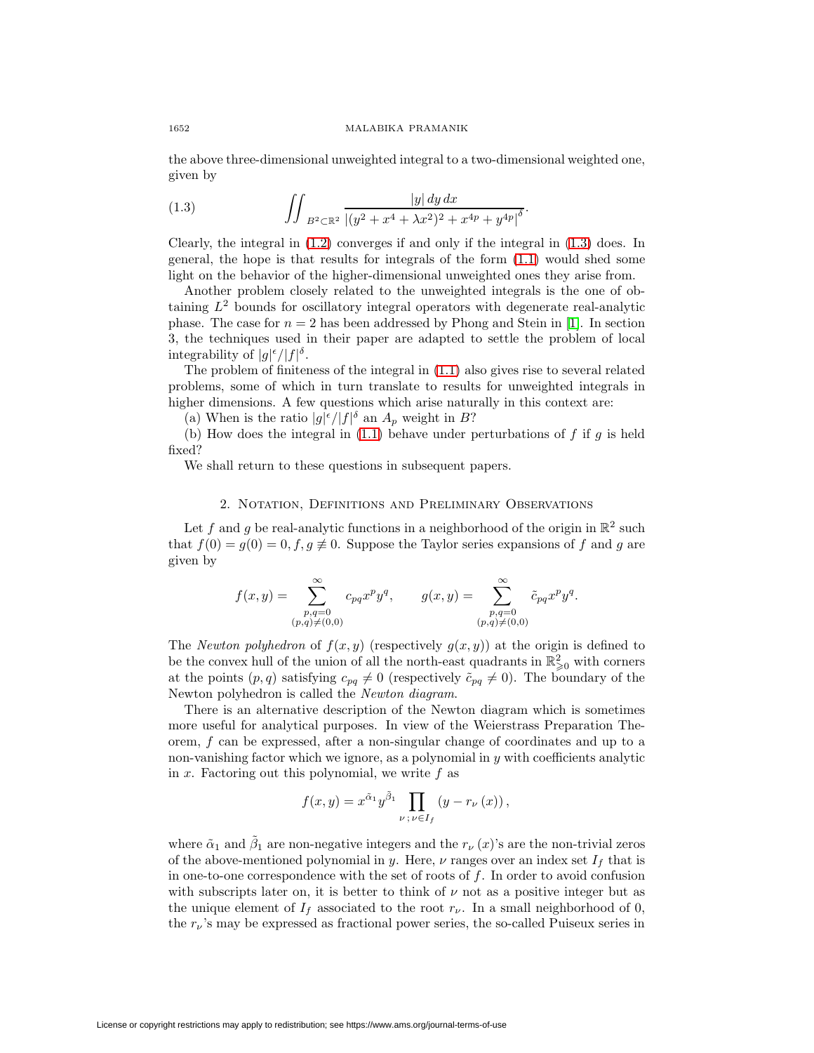<span id="page-1-0"></span>the above three-dimensional unweighted integral to a two-dimensional weighted one, given by

(1.3) 
$$
\iint_{B^2 \subset \mathbb{R}^2} \frac{|y| \, dy \, dx}{|(y^2 + x^4 + \lambda x^2)^2 + x^{4p} + y^{4p}|^{\delta}}.
$$

Clearly, the integral in [\(1.2\)](#page-0-1) converges if and only if the integral in [\(1.3\)](#page-1-0) does. In general, the hope is that results for integrals of the form [\(1.1\)](#page-0-0) would shed some light on the behavior of the higher-dimensional unweighted ones they arise from.

Another problem closely related to the unweighted integrals is the one of obtaining  $L^2$  bounds for oscillatory integral operators with degenerate real-analytic phase. The case for  $n = 2$  has been addressed by Phong and Stein in [\[1\]](#page-14-2). In section 3, the techniques used in their paper are adapted to settle the problem of local integrability of  $|g|^{\epsilon}/|f|^{\delta}$ .

The problem of finiteness of the integral in [\(1.1\)](#page-0-0) also gives rise to several related problems, some of which in turn translate to results for unweighted integrals in higher dimensions. A few questions which arise naturally in this context are:

(a) When is the ratio  $|g|^{\epsilon}/|f|^{\delta}$  an  $A_p$  weight in B?

(b) How does the integral in  $(1.1)$  behave under perturbations of f if g is held fixed?

We shall return to these questions in subsequent papers.

## 2. Notation, Definitions and Preliminary Observations

Let f and g be real-analytic functions in a neighborhood of the origin in  $\mathbb{R}^2$  such that  $f(0) = g(0) = 0, f, g \neq 0$ . Suppose the Taylor series expansions of f and g are given by

$$
f(x,y) = \sum_{\substack{p,q=0 \\ (p,q) \neq (0,0)}}^{\infty} c_{pq} x^p y^q, \qquad g(x,y) = \sum_{\substack{p,q=0 \\ (p,q) \neq (0,0)}}^{\infty} \tilde{c}_{pq} x^p y^q.
$$

The Newton polyhedron of  $f(x, y)$  (respectively  $g(x, y)$ ) at the origin is defined to be the convex hull of the union of all the north-east quadrants in  $\mathbb{R}^2_{\geq 0}$  with corners at the points  $(p, q)$  satisfying  $c_{pq} \neq 0$  (respectively  $\tilde{c}_{pq} \neq 0$ ). The boundary of the Newton polyhedron is called the Newton diagram.

There is an alternative description of the Newton diagram which is sometimes more useful for analytical purposes. In view of the Weierstrass Preparation Theorem, f can be expressed, after a non-singular change of coordinates and up to a non-vanishing factor which we ignore, as a polynomial in  $y$  with coefficients analytic in  $x$ . Factoring out this polynomial, we write  $f$  as

$$
f(x,y) = x^{\tilde{\alpha}_1} y^{\tilde{\beta}_1} \prod_{\nu \, ; \, \nu \in I_f} \left( y - r_{\nu} \left( x \right) \right),
$$

where  $\tilde{\alpha}_1$  and  $\tilde{\beta}_1$  are non-negative integers and the  $r_{\nu}(x)$ 's are the non-trivial zeros of the above-mentioned polynomial in y. Here,  $\nu$  ranges over an index set  $I_f$  that is in one-to-one correspondence with the set of roots of  $f$ . In order to avoid confusion with subscripts later on, it is better to think of  $\nu$  not as a positive integer but as the unique element of  $I_f$  associated to the root  $r_{\nu}$ . In a small neighborhood of 0, the  $r_{\nu}$ 's may be expressed as fractional power series, the so-called Puiseux series in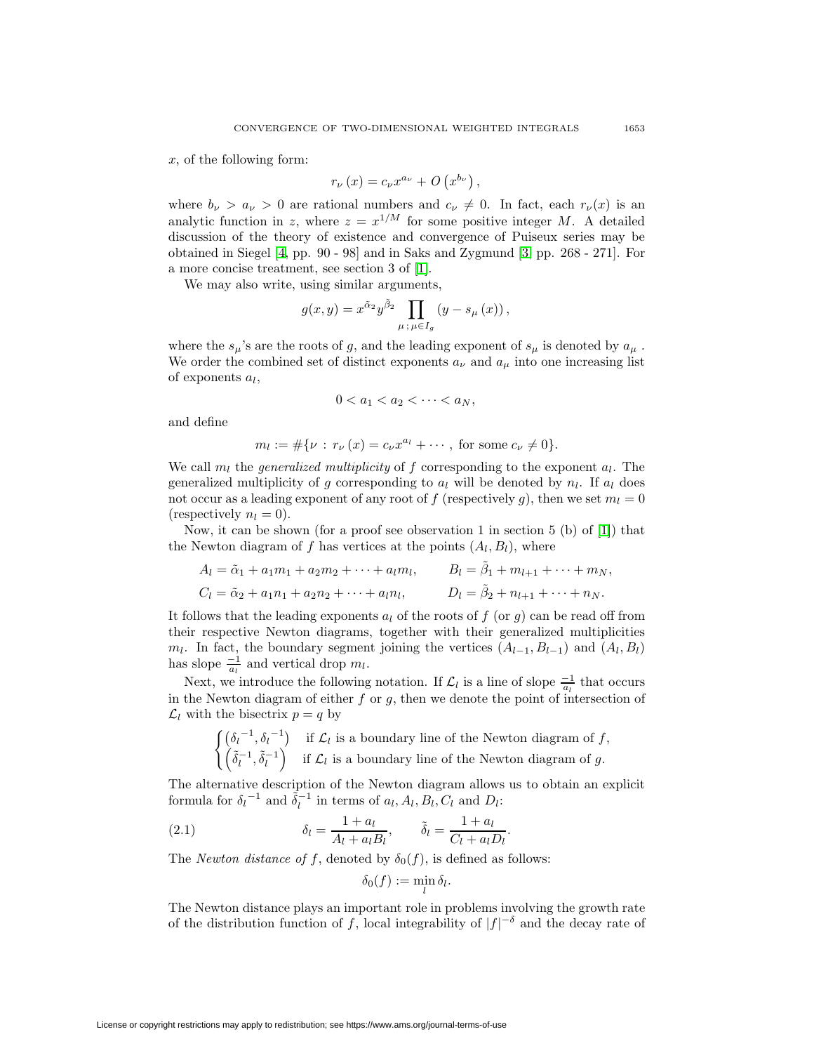x, of the following form:

$$
r_{\nu}(x) = c_{\nu}x^{a_{\nu}} + O(x^{b_{\nu}}),
$$

where  $b_{\nu} > a_{\nu} > 0$  are rational numbers and  $c_{\nu} \neq 0$ . In fact, each  $r_{\nu}(x)$  is an analytic function in z, where  $z = x^{1/M}$  for some positive integer M. A detailed discussion of the theory of existence and convergence of Puiseux series may be obtained in Siegel [\[4,](#page-14-3) pp. 90 - 98] and in Saks and Zygmund [\[3,](#page-14-4) pp. 268 - 271]. For a more concise treatment, see section 3 of [\[1\]](#page-14-2).

We may also write, using similar arguments,

$$
g(x,y) = x^{\tilde{\alpha}_2} y^{\tilde{\beta}_2} \prod_{\mu \, ; \, \mu \in I_g} \left( y - s_{\mu} \left( x \right) \right),
$$

where the  $s_\mu$ 's are the roots of g, and the leading exponent of  $s_\mu$  is denoted by  $a_\mu$ . We order the combined set of distinct exponents  $a_{\nu}$  and  $a_{\mu}$  into one increasing list of exponents  $a_l$ ,

$$
0 < a_1 < a_2 < \cdots < a_N
$$

and define

$$
m_l := #\{\nu : r_{\nu}(x) = c_{\nu}x^{a_l} + \cdots, \text{ for some } c_{\nu} \neq 0\}.
$$

We call  $m_l$  the *generalized multiplicity* of f corresponding to the exponent  $a_l$ . The generalized multiplicity of g corresponding to  $a_l$  will be denoted by  $n_l$ . If  $a_l$  does not occur as a leading exponent of any root of f (respectively g), then we set  $m_l = 0$ (respectively  $n_l = 0$ ).

Now, it can be shown (for a proof see observation 1 in section 5 (b) of  $[1]$ ) that the Newton diagram of f has vertices at the points  $(A_l, B_l)$ , where

$$
A_l = \tilde{\alpha}_1 + a_1 m_1 + a_2 m_2 + \dots + a_l m_l, \qquad B_l = \tilde{\beta}_1 + m_{l+1} + \dots + m_N,
$$
  
\n
$$
C_l = \tilde{\alpha}_2 + a_1 n_1 + a_2 n_2 + \dots + a_l n_l, \qquad D_l = \tilde{\beta}_2 + n_{l+1} + \dots + n_N.
$$

It follows that the leading exponents  $a_l$  of the roots of f (or q) can be read off from their respective Newton diagrams, together with their generalized multiplicities  $m_l$ . In fact, the boundary segment joining the vertices  $(A_{l-1}, B_{l-1})$  and  $(A_l, B_l)$ has slope  $\frac{-1}{a_l}$  and vertical drop  $m_l$ .

Next, we introduce the following notation. If  $\mathcal{L}_l$  is a line of slope  $\frac{-1}{a_l}$  that occurs in the Newton diagram of either  $f$  or  $g$ , then we denote the point of intersection of  $\mathcal{L}_l$  with the bisectrix  $p = q$  by

 $\left( \delta_l^{-1}, \delta_l^{-1} \right)$  if  $\mathcal{L}_l$  is a boundary line of the Newton diagram of f,  $(\tilde{\delta}_l^{-1}, \tilde{\delta}_l^{-1})$  if  $\mathcal{L}_l$  is a boundary line of the Newton diagram of g.

The alternative description of the Newton diagram allows us to obtain an explicit formula for  $\delta_l^{-1}$  and  $\tilde{\delta}_l^{-1}$  in terms of  $a_l, A_l, B_l, C_l$  and  $D_l$ :

<span id="page-2-0"></span>(2.1) 
$$
\delta_l = \frac{1 + a_l}{A_l + a_l B_l}, \qquad \tilde{\delta}_l = \frac{1 + a_l}{C_l + a_l D_l}.
$$

The *Newton distance of f*, denoted by  $\delta_0(f)$ , is defined as follows:

$$
\delta_0(f):=\min_l \delta_l.
$$

The Newton distance plays an important role in problems involving the growth rate of the distribution function of f, local integrability of  $|f|^{-\delta}$  and the decay rate of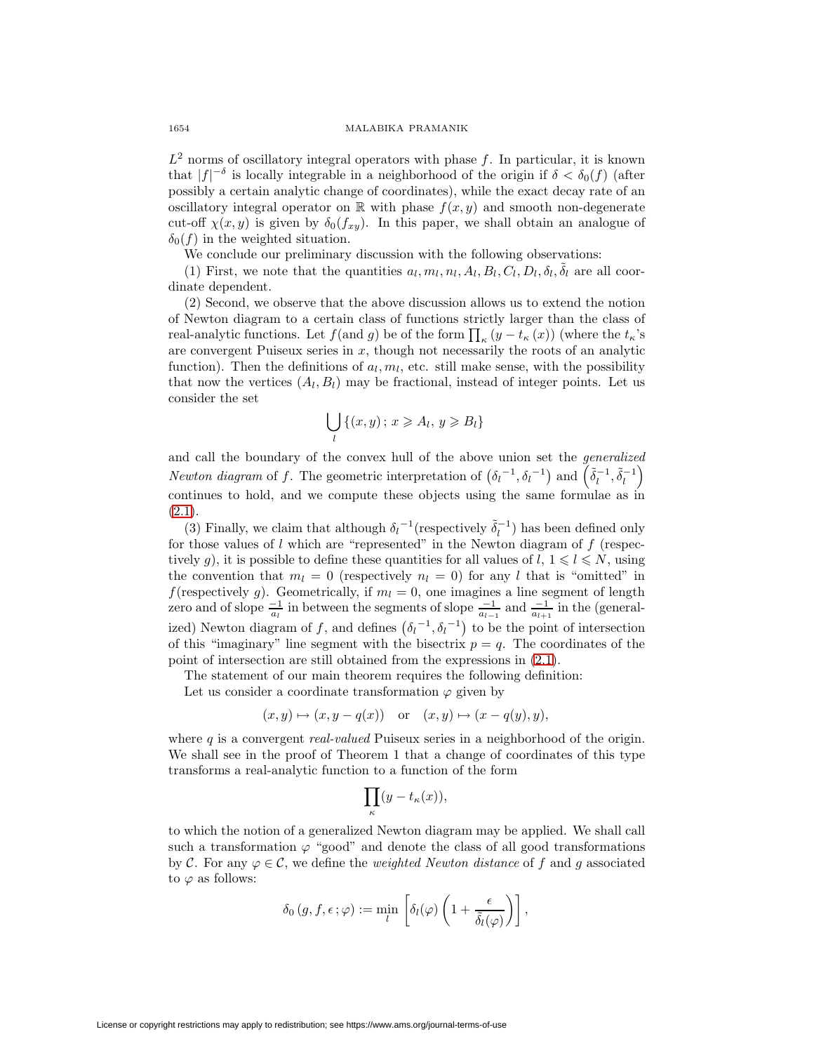$L^2$  norms of oscillatory integral operators with phase f. In particular, it is known that  $|f|^{-\delta}$  is locally integrable in a neighborhood of the origin if  $\delta < \delta_0(f)$  (after possibly a certain analytic change of coordinates), while the exact decay rate of an oscillatory integral operator on R with phase  $f(x, y)$  and smooth non-degenerate cut-off  $\chi(x, y)$  is given by  $\delta_0(f_{xy})$ . In this paper, we shall obtain an analogue of  $\delta_0(f)$  in the weighted situation.

We conclude our preliminary discussion with the following observations:

(1) First, we note that the quantities  $a_l, m_l, n_l, A_l, B_l, C_l, D_l, \delta_l, \tilde{\delta}_l$  are all coordinate dependent.

(2) Second, we observe that the above discussion allows us to extend the notion of Newton diagram to a certain class of functions strictly larger than the class of real-analytic functions. Let  $f($ and  $g)$  be of the form  $\prod_{\kappa} (y - t_{\kappa}(x))$  (where the  $t_{\kappa}$ 's are convergent Puiseux series in  $x$ , though not necessarily the roots of an analytic function). Then the definitions of  $a_l, m_l$ , etc. still make sense, with the possibility that now the vertices  $(A_l, B_l)$  may be fractional, instead of integer points. Let us consider the set

$$
\bigcup_{l} \{ (x, y) \, ; \, x \geqslant A_l, \, y \geqslant B_l \}
$$

and call the boundary of the convex hull of the above union set the generalized Newton diagram of f. The geometric interpretation of  $(\delta_l^{-1}, \delta_l^{-1})$  and  $(\tilde{\delta}_l^{-1}, \tilde{\delta}_l^{-1})$ continues to hold, and we compute these objects using the same formulae as in  $(2.1).$  $(2.1).$ 

(3) Finally, we claim that although  $\delta_l^{-1}$  (respectively  $\tilde{\delta}_l^{-1}$ ) has been defined only for those values of  $l$  which are "represented" in the Newton diagram of  $f$  (respectively g), it is possible to define these quantities for all values of  $l, 1 \leq l \leq N$ , using the convention that  $m_l = 0$  (respectively  $n_l = 0$ ) for any l that is "omitted" in f(respectively g). Geometrically, if  $m_l = 0$ , one imagines a line segment of length zero and of slope  $\frac{-1}{a_l}$  in between the segments of slope  $\frac{-1}{a_{l-1}}$  and  $\frac{-1}{a_{l+1}}$  in the (generalized) Newton diagram of f, and defines  $(\delta_l^{-1}, \delta_l^{-1})$  to be the point of intersection of this "imaginary" line segment with the bisectrix  $p = q$ . The coordinates of the point of intersection are still obtained from the expressions in [\(2.1\)](#page-2-0).

The statement of our main theorem requires the following definition:

Let us consider a coordinate transformation  $\varphi$  given by

$$
(x, y) \mapsto (x, y - q(x))
$$
 or  $(x, y) \mapsto (x - q(y), y)$ ,

where  $q$  is a convergent *real-valued* Puiseux series in a neighborhood of the origin. We shall see in the proof of Theorem 1 that a change of coordinates of this type transforms a real-analytic function to a function of the form

$$
\prod_{\kappa}(y-t_{\kappa}(x)),
$$

to which the notion of a generalized Newton diagram may be applied. We shall call such a transformation  $\varphi$  "good" and denote the class of all good transformations by C. For any  $\varphi \in \mathcal{C}$ , we define the *weighted Newton distance* of f and g associated to  $\varphi$  as follows:

$$
\delta_0(g, f, \epsilon; \varphi) := \min_l \left[ \delta_l(\varphi) \left( 1 + \frac{\epsilon}{\tilde{\delta}_l(\varphi)} \right) \right],
$$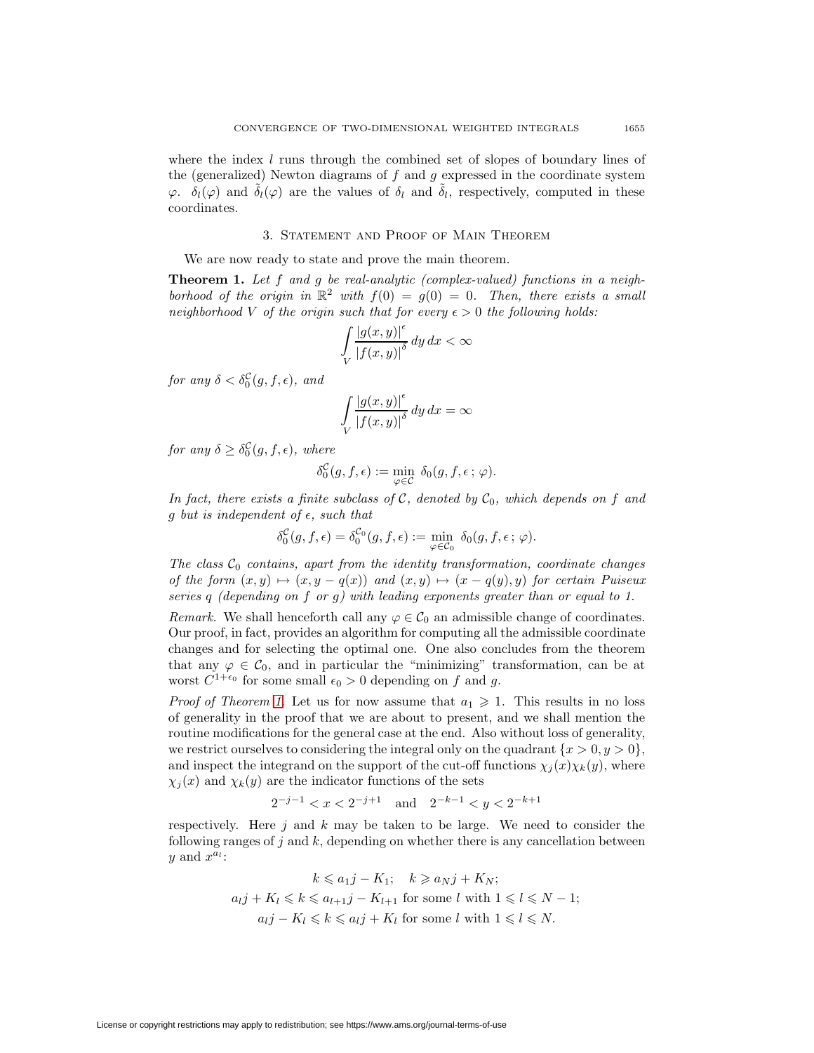where the index  $l$  runs through the combined set of slopes of boundary lines of the (generalized) Newton diagrams of  $f$  and  $g$  expressed in the coordinate system  $\varphi$ .  $\delta_l(\varphi)$  and  $\delta_l(\varphi)$  are the values of  $\delta_l$  and  $\delta_l$ , respectively, computed in these coordinates.

#### 3. Statement and Proof of Main Theorem

We are now ready to state and prove the main theorem.

**Theorem 1.** Let f and g be real-analytic (complex-valued) functions in a neighborhood of the origin in  $\mathbb{R}^2$  with  $f(0) = g(0) = 0$ . Then, there exists a small neighborhood V of the origin such that for every  $\epsilon > 0$  the following holds:

$$
\int\limits_V \frac{|g(x,y)|^{\epsilon}}{|f(x,y)|^{\delta}} dy dx < \infty
$$

for any  $\delta < \delta_0^{\mathcal{C}}(g, f, \epsilon)$ , and

$$
\int\limits_V\frac{\left|g(x,y)\right|^{\epsilon}}{\left|f(x,y)\right|^{\delta}}\,dy\,dx=\infty
$$

for any  $\delta \geq \delta_0^{\mathcal{C}}(g, f, \epsilon)$ , where

$$
\delta_0^{\mathcal{C}}(g, f, \epsilon) := \min_{\varphi \in \mathcal{C}} \delta_0(g, f, \epsilon; \varphi).
$$

In fact, there exists a finite subclass of C, denoted by  $C_0$ , which depends on f and g but is independent of  $\epsilon$ , such that

$$
\delta_0^{\mathcal{C}}(g, f, \epsilon) = \delta_0^{\mathcal{C}_0}(g, f, \epsilon) := \min_{\varphi \in \mathcal{C}_0} \delta_0(g, f, \epsilon; \varphi).
$$

The class  $C_0$  contains, apart from the identity transformation, coordinate changes of the form  $(x, y) \mapsto (x, y - q(x))$  and  $(x, y) \mapsto (x - q(y), y)$  for certain Puiseux series q (depending on f or g) with leading exponents greater than or equal to 1.

Remark. We shall henceforth call any  $\varphi \in C_0$  an admissible change of coordinates. Our proof, in fact, provides an algorithm for computing all the admissible coordinate changes and for selecting the optimal one. One also concludes from the theorem that any  $\varphi \in \mathcal{C}_0$ , and in particular the "minimizing" transformation, can be at worst  $C^{1+\epsilon_0}$  for some small  $\epsilon_0 > 0$  depending on f and g.

*Proof of Theorem 1.* Let us for now assume that  $a_1 \geq 1$ . This results in no loss of generality in the proof that we are about to present, and we shall mention the routine modifications for the general case at the end. Also without loss of generality, we restrict ourselves to considering the integral only on the quadrant  $\{x > 0, y > 0\}$ , and inspect the integrand on the support of the cut-off functions  $\chi_j(x)\chi_k(y)$ , where  $\chi_j(x)$  and  $\chi_k(y)$  are the indicator functions of the sets

$$
2^{-j-1} < x < 2^{-j+1}
$$
 and  $2^{-k-1} < y < 2^{-k+1}$ 

respectively. Here  $j$  and  $k$  may be taken to be large. We need to consider the following ranges of j and k, depending on whether there is any cancellation between y and  $x^{a_l}$ :

$$
k \leq a_1 j - K_1; \quad k \geq a_N j + K_N;
$$
  
\n
$$
a_l j + K_l \leq k \leq a_{l+1} j - K_{l+1} \text{ for some } l \text{ with } 1 \leq l \leq N - 1;
$$
  
\n
$$
a_l j - K_l \leq k \leq a_l j + K_l \text{ for some } l \text{ with } 1 \leq l \leq N.
$$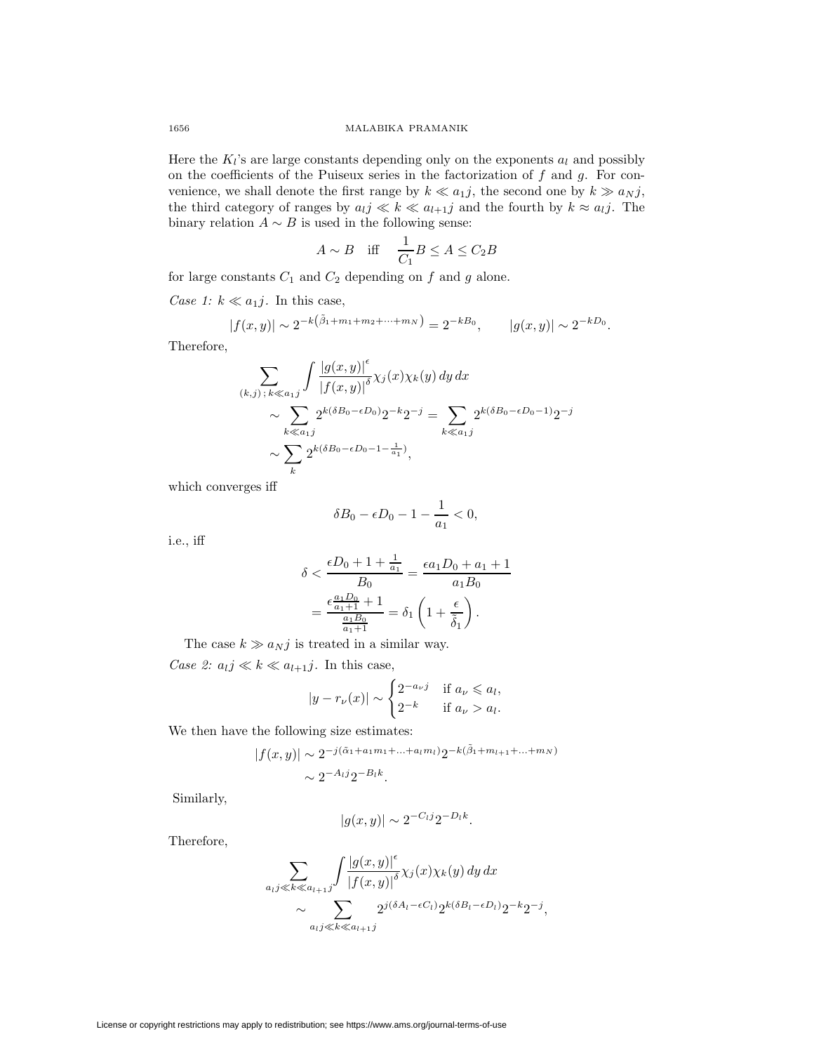Here the  $K_l$ 's are large constants depending only on the exponents  $a_l$  and possibly on the coefficients of the Puiseux series in the factorization of  $f$  and  $g$ . For convenience, we shall denote the first range by  $k \ll a_{1}j$ , the second one by  $k \gg a_{N}j$ , the third category of ranges by  $a_{ij} \ll k \ll a_{l+1}j$  and the fourth by  $k \approx a_{ij}$ . The binary relation  $A \sim B$  is used in the following sense:

$$
A \sim B \quad \text{iff} \quad \frac{1}{C_1} B \le A \le C_2 B
$$

for large constants  $C_1$  and  $C_2$  depending on f and g alone.

Case 1:  $k \ll a_1 j$ . In this case,

$$
|f(x,y)| \sim 2^{-k(\tilde{\beta}_1 + m_1 + m_2 + \dots + m_N)} = 2^{-k}.
$$
  $|g(x,y)| \sim 2^{-k}.$ 

Therefore,

$$
\sum_{(k,j), k \ll a_{1j}} \int \frac{|g(x,y)|^{\epsilon}}{|f(x,y)|^{\delta}} \chi_j(x) \chi_k(y) dy dx
$$
  
\$\sim \sum\_{k \ll a\_{1j}} 2^{k(\delta B\_0 - \epsilon D\_0)} 2^{-k} 2^{-j} = \sum\_{k \ll a\_{1j}} 2^{k(\delta B\_0 - \epsilon D\_0 - 1)} 2^{-j}\$  
\$\sim \sum\_{k} 2^{k(\delta B\_0 - \epsilon D\_0 - 1 - \frac{1}{a\_1})},

which converges iff

$$
\delta B_0 - \epsilon D_0 - 1 - \frac{1}{a_1} < 0,
$$

i.e., iff

$$
\delta < \frac{\epsilon D_0 + 1 + \frac{1}{a_1}}{B_0} = \frac{\epsilon a_1 D_0 + a_1 + 1}{a_1 B_0}
$$
\n
$$
= \frac{\epsilon \frac{a_1 D_0}{a_1 + 1} + 1}{\frac{a_1 B_0}{a_1 + 1}} = \delta_1 \left( 1 + \frac{\epsilon}{\tilde{\delta}_1} \right).
$$

The case  $k \gg a_N j$  is treated in a similar way. Case 2:  $a_{ij} \ll k \ll a_{l+1}j$ . In this case,

$$
|y - r_{\nu}(x)| \sim \begin{cases} 2^{-a_{\nu}j} & \text{if } a_{\nu} \leq a_{l}, \\ 2^{-k} & \text{if } a_{\nu} > a_{l}. \end{cases}
$$

We then have the following size estimates:

$$
|f(x,y)| \sim 2^{-j(\tilde{\alpha}_1 + a_1 m_1 + \dots + a_l m_l)} 2^{-k(\tilde{\beta}_1 + m_{l+1} + \dots + m_N)}
$$
  
\$\sim 2^{-A\_l j} 2^{-B\_l k}\$.

Similarly,

$$
|g(x,y)| \sim 2^{-C_{l}j} 2^{-D_{l}k}.
$$

Therefore,

$$
\sum_{a_{l}j\ll k\ll a_{l+1}j}\int\frac{|g(x,y)|^{\epsilon}}{|f(x,y)|^{\delta}}\chi_{j}(x)\chi_{k}(y) dy dx
$$
  

$$
\sim \sum_{a_{l}j\ll k\ll a_{l+1}j} 2^{j(\delta A_{l}-\epsilon C_{l})}2^{k(\delta B_{l}-\epsilon D_{l})}2^{-k}2^{-j},
$$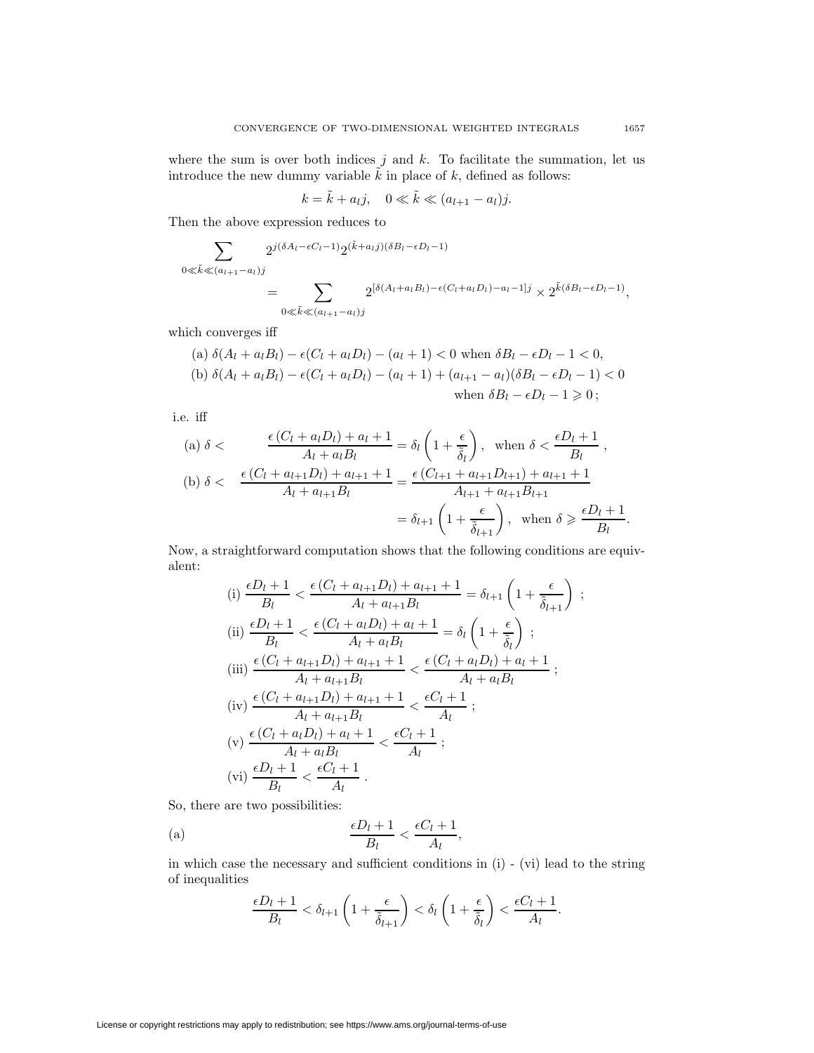where the sum is over both indices  $j$  and  $k$ . To facilitate the summation, let us introduce the new dummy variable  $\tilde{k}$  in place of k, defined as follows:

$$
k = \tilde{k} + a_l j, \quad 0 \ll \tilde{k} \ll (a_{l+1} - a_l) j.
$$

Then the above expression reduces to

$$
\sum_{0 \leq \tilde{k} \leqslant (a_{l+1}-a_l)j} 2^{j(\delta A_l - \epsilon C_l - 1)} 2^{(\tilde{k}+a_lj)(\delta B_l - \epsilon D_l - 1)}
$$
\n
$$
= \sum_{0 \leqslant \tilde{k} \leqslant (a_{l+1}-a_l)j} 2^{[\delta(A_l + a_lB_l) - \epsilon(C_l + a_lD_l) - a_l - 1]j} \times 2^{\tilde{k}(\delta B_l - \epsilon D_l - 1)},
$$

which converges iff

(a) 
$$
\delta(A_l + a_l B_l) - \epsilon(C_l + a_l D_l) - (a_l + 1) < 0
$$
 when  $\delta B_l - \epsilon D_l - 1 < 0$ ,  
\n(b)  $\delta(A_l + a_l B_l) - \epsilon(C_l + a_l D_l) - (a_l + 1) + (a_{l+1} - a_l)(\delta B_l - \epsilon D_l - 1) < 0$   
\nwhen  $\delta B_l - \epsilon D_l - 1 \geq 0$ ;

i.e. iff

(a) 
$$
\delta
$$
  $\langle$   $\frac{\epsilon (C_l + a_l D_l) + a_l + 1}{A_l + a_l B_l} = \delta_l \left(1 + \frac{\epsilon}{\tilde{\delta}_l}\right)$ , when  $\delta \langle \frac{\epsilon D_l + 1}{B_l}$ ,  
\n(b)  $\delta \langle \frac{\epsilon (C_l + a_{l+1} D_l) + a_{l+1} + 1}{A_l + a_{l+1} B_l} = \frac{\epsilon (C_{l+1} + a_{l+1} D_{l+1}) + a_{l+1} + 1}{A_{l+1} + a_{l+1} B_{l+1}}$   
\n $= \delta_{l+1} \left(1 + \frac{\epsilon}{\tilde{\delta}_{l+1}}\right)$ , when  $\delta \geq \frac{\epsilon D_l + 1}{B_l}$ .

Now, a straightforward computation shows that the following conditions are equivalent:

(i) 
$$
\frac{\epsilon D_l + 1}{B_l} < \frac{\epsilon (C_l + a_{l+1} D_l) + a_{l+1} + 1}{A_l + a_{l+1} B_l} = \delta_{l+1} \left( 1 + \frac{\epsilon}{\tilde{\delta}_{l+1}} \right)
$$
\n(ii) 
$$
\frac{\epsilon D_l + 1}{B_l} < \frac{\epsilon (C_l + a_l D_l) + a_l + 1}{A_l + a_l B_l} = \delta_l \left( 1 + \frac{\epsilon}{\tilde{\delta}_l} \right);
$$
\n(iii) 
$$
\frac{\epsilon (C_l + a_{l+1} D_l) + a_{l+1} + 1}{A_l + a_{l+1} B_l} < \frac{\epsilon (C_l + a_l D_l) + a_l + 1}{A_l + a_l B_l};
$$
\n(iv) 
$$
\frac{\epsilon (C_l + a_{l+1} D_l) + a_{l+1} + 1}{A_l + a_{l+1} B_l} < \frac{\epsilon C_l + 1}{A_l};
$$
\n(v) 
$$
\frac{\epsilon (C_l + a_l D_l) + a_l + 1}{A_l + a_l B_l} < \frac{\epsilon C_l + 1}{A_l};
$$
\n(vi) 
$$
\frac{\epsilon D_l + 1}{B_l} < \frac{\epsilon C_l + 1}{A_l}.
$$

So, there are two possibilities:

(a) 
$$
\frac{\epsilon D_l + 1}{B_l} < \frac{\epsilon C_l + 1}{A_l},
$$

in which case the necessary and sufficient conditions in (i) - (vi) lead to the string of inequalities

$$
\frac{\epsilon D_l+1}{B_l} < \delta_{l+1}\left(1+\frac{\epsilon}{\tilde{\delta}_{l+1}}\right) < \delta_l\left(1+\frac{\epsilon}{\tilde{\delta}_l}\right) < \frac{\epsilon C_l+1}{A_l}.
$$

License or copyright restrictions may apply to redistribution; see https://www.ams.org/journal-terms-of-use

;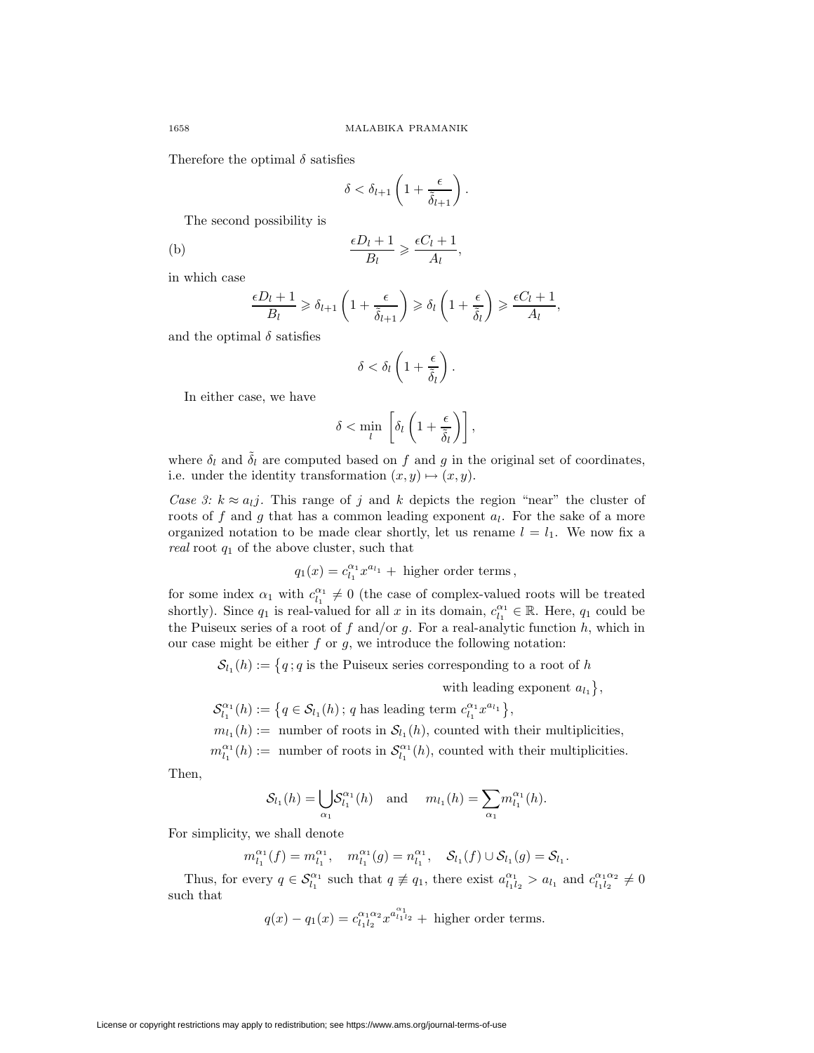Therefore the optimal  $\delta$  satisfies

$$
\delta < \delta_{l+1} \left( 1 + \frac{\epsilon}{\tilde{\delta}_{l+1}} \right).
$$

The second possibility is

(b) 
$$
\frac{\epsilon D_l + 1}{B_l} \geqslant \frac{\epsilon C_l + 1}{A_l},
$$

in which case

$$
\frac{\epsilon D_l + 1}{B_l} \geq \delta_{l+1} \left( 1 + \frac{\epsilon}{\tilde{\delta}_{l+1}} \right) \geq \delta_l \left( 1 + \frac{\epsilon}{\tilde{\delta}_l} \right) \geq \frac{\epsilon C_l + 1}{A_l},
$$

and the optimal  $\delta$  satisfies

$$
\delta < \delta_l \left( 1 + \frac{\epsilon}{\tilde{\delta}_l} \right).
$$

In either case, we have

$$
\delta < \min_{l} \left[ \delta_l \left( 1 + \frac{\epsilon}{\tilde{\delta}_l} \right) \right],
$$

where  $\delta_l$  and  $\tilde{\delta}_l$  are computed based on f and g in the original set of coordinates, i.e. under the identity transformation  $(x, y) \mapsto (x, y)$ .

Case 3:  $k \approx a_{ij}$ . This range of j and k depicts the region "near" the cluster of roots of f and g that has a common leading exponent  $a_l$ . For the sake of a more organized notation to be made clear shortly, let us rename  $l = l_1$ . We now fix a real root  $q_1$  of the above cluster, such that

$$
q_1(x) = c_{l_1}^{\alpha_1} x^{a_{l_1}} +
$$
 higher order terms,

for some index  $\alpha_1$  with  $c_{l_1}^{\alpha_1} \neq 0$  (the case of complex-valued roots will be treated shortly). Since  $q_1$  is real-valued for all x in its domain,  $c_{l_1}^{\alpha_1} \in \mathbb{R}$ . Here,  $q_1$  could be the Puiseux series of a root of f and/or g. For a real-analytic function  $h$ , which in our case might be either  $f$  or  $g$ , we introduce the following notation:

 $\mathcal{S}_{l_1}(h) := \{q : q \text{ is the Puiseux series corresponding to a root of } h\}$ 

with leading exponent  $a_{l_1}$ ,

 $\mathcal{S}_{l_1}^{\alpha_1}(h) := \left\{ q \in \mathcal{S}_{l_1}(h) \, ; \, q \text{ has leading term } c_{l_1}^{\alpha_1} x^{a_{l_1}} \right\},\,$ 

 $m_{l_1}(h) :=$  number of roots in  $S_{l_1}(h)$ , counted with their multiplicities,

 $m_{l_1}^{\alpha_1}(h) :=$  number of roots in  $\mathcal{S}_{l_1}^{\alpha_1}(h)$ , counted with their multiplicities.

Then,

$$
S_{l_1}(h) = \bigcup_{\alpha_1} S_{l_1}^{\alpha_1}(h)
$$
 and  $m_{l_1}(h) = \sum_{\alpha_1} m_{l_1}^{\alpha_1}(h)$ .

For simplicity, we shall denote

$$
m_{l_1}^{\alpha_1}(f) = m_{l_1}^{\alpha_1}, \quad m_{l_1}^{\alpha_1}(g) = n_{l_1}^{\alpha_1}, \quad \mathcal{S}_{l_1}(f) \cup \mathcal{S}_{l_1}(g) = \mathcal{S}_{l_1}.
$$

Thus, for every  $q \in \mathcal{S}_{l_1}^{\alpha_1}$  such that  $q \not\equiv q_1$ , there exist  $a_{l_1l_2}^{\alpha_1} > a_{l_1}$  and  $c_{l_1l_2}^{\alpha_1\alpha_2} \neq 0$ such that

$$
q(x) - q_1(x) = c_{l_1 l_2}^{\alpha_1 \alpha_2} x^{a_{l_1 l_2}^{\alpha_1}} +
$$
 higher order terms.

License or copyright restrictions may apply to redistribution; see https://www.ams.org/journal-terms-of-use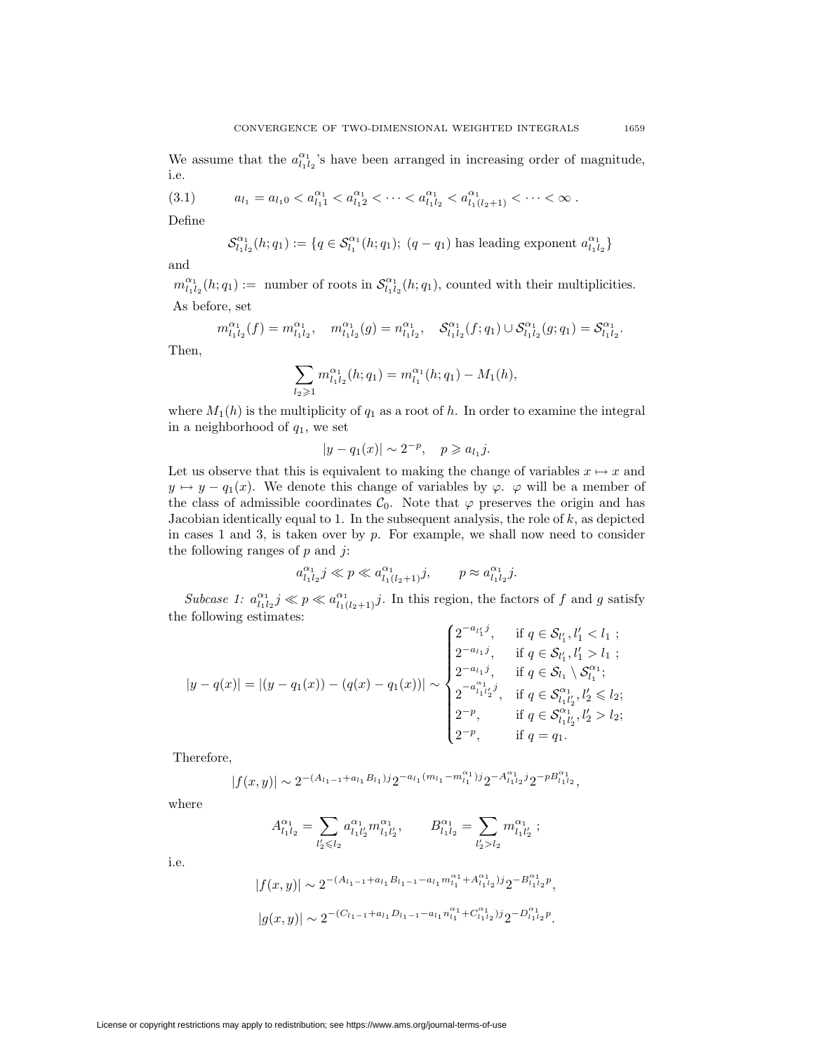<span id="page-8-0"></span>We assume that the  $a_{l_1l_2}^{\alpha_1}$ 's have been arranged in increasing order of magnitude, i.e.

$$
(3.1) \t a_{l_1} = a_{l_1 0} < a_{l_1 1}^{\alpha_1} < a_{l_1 2}^{\alpha_1} < \cdots < a_{l_1 l_2}^{\alpha_1} < a_{l_1 (l_2 + 1)}^{\alpha_1} < \cdots < \infty \, .
$$

Define

$$
\mathcal{S}_{l_1l_2}^{\alpha_1}(h;q_1) := \{q \in \mathcal{S}_{l_1}^{\alpha_1}(h;q_1); (q-q_1) \text{ has leading exponent } a_{l_1l_2}^{\alpha_1}\}
$$

and

 $m_{l_1l_2}^{\alpha_1}(h;q_1) :=$  number of roots in  $\mathcal{S}_{l_1l_2}^{\alpha_1}(h;q_1)$ , counted with their multiplicities. As before, set

$$
m_{l_1l_2}^{\alpha_1}(f) = m_{l_1l_2}^{\alpha_1}, \quad m_{l_1l_2}^{\alpha_1}(g) = n_{l_1l_2}^{\alpha_1}, \quad \mathcal{S}_{l_1l_2}^{\alpha_1}(f; q_1) \cup \mathcal{S}_{l_1l_2}^{\alpha_1}(g; q_1) = \mathcal{S}_{l_1l_2}^{\alpha_1}.
$$

Then,

$$
\sum_{l_2 \geq 1} m_{l_1 l_2}^{\alpha_1}(h; q_1) = m_{l_1}^{\alpha_1}(h; q_1) - M_1(h),
$$

where  $M_1(h)$  is the multiplicity of  $q_1$  as a root of h. In order to examine the integral in a neighborhood of  $q_1$ , we set

$$
|y - q_1(x)| \sim 2^{-p}, \quad p \geq a_{l_1} j.
$$

Let us observe that this is equivalent to making the change of variables  $x \mapsto x$  and  $y \mapsto y - q_1(x)$ . We denote this change of variables by  $\varphi$ .  $\varphi$  will be a member of the class of admissible coordinates  $C_0$ . Note that  $\varphi$  preserves the origin and has Jacobian identically equal to 1. In the subsequent analysis, the role of  $k$ , as depicted in cases 1 and 3, is taken over by p. For example, we shall now need to consider the following ranges of  $p$  and  $j$ :

$$
a_{l_1l_2}^{\alpha_1} j \ll p \ll a_{l_1(l_2+1)}^{\alpha_1} j
$$
,  $p \approx a_{l_1l_2}^{\alpha_1} j$ .

Subcase 1:  $a_{l_1l_2}^{\alpha_1} j \ll p \ll a_{l_1(l_2+1)}^{\alpha_1} j$ . In this region, the factors of f and g satisfy the following estimates:

$$
|y - q(x)| = |(y - q_1(x)) - (q(x) - q_1(x))| \sim \begin{cases} 2^{-a_{l_1}j}, & \text{if } q \in S_{l_1'}, l_1' < l_1 ;\\ 2^{-a_{l_1}j}, & \text{if } q \in S_{l_1'}, l_1' > l_1 ;\\ 2^{-a_{l_1}j}, & \text{if } q \in S_{l_1} \setminus S_{l_1}^{\alpha_1};\\ 2^{-a_{l_1}^{\alpha_1}}l_2^{j}, & \text{if } q \in S_{l_1l_2'}, l_2' \le l_2 ;\\ 2^{-p}, & \text{if } q \in S_{l_1l_2}^{\alpha_1}, l_2' > l_2 ;\\ 2^{-p}, & \text{if } q = q_1. \end{cases}
$$

Therefore,

$$
|f(x,y)| \sim 2^{-(A_{l_1-1} + a_{l_1}B_{l_1})j} 2^{-a_{l_1}(m_{l_1} - m_{l_1}^{\alpha_1})j} 2^{-A_{l_1l_2}^{\alpha_1}j} 2^{-pB_{l_1l_2}^{\alpha_1}},
$$

where

i.e.

$$
\begin{array}{ll} \displaystyle A_{l_1l_2}^{\alpha_1}=\sum_{l_2'\leqslant l_2}a_{l_1l_2'}^{\alpha_1}m_{l_1l_2'}^{\alpha_1},\quad & B_{l_1l_2}^{\alpha_1}=\sum_{l_2'>l_2}m_{l_1l_2'}^{\alpha_1} \; ;\\ \\ \displaystyle |f(x,y)|\sim 2^{-(A_{l_1-1}+a_{l_1}B_{l_1-1}-a_{l_1}m_{l_1}^{\alpha_1}+A_{l_1l_2}^{\alpha_1})j}2^{-B_{l_1l_2}^{\alpha_1}p} \end{array}
$$

,

 $|g(x,y)| \sim 2^{-(C_{l_1-1}+a_{l_1}D_{l_1-1}-a_{l_1}n_{l_1}^{\alpha_1}+C_{l_1l_2}^{\alpha_1})j} 2^{-D_{l_1l_2}^{\alpha_1}p}.$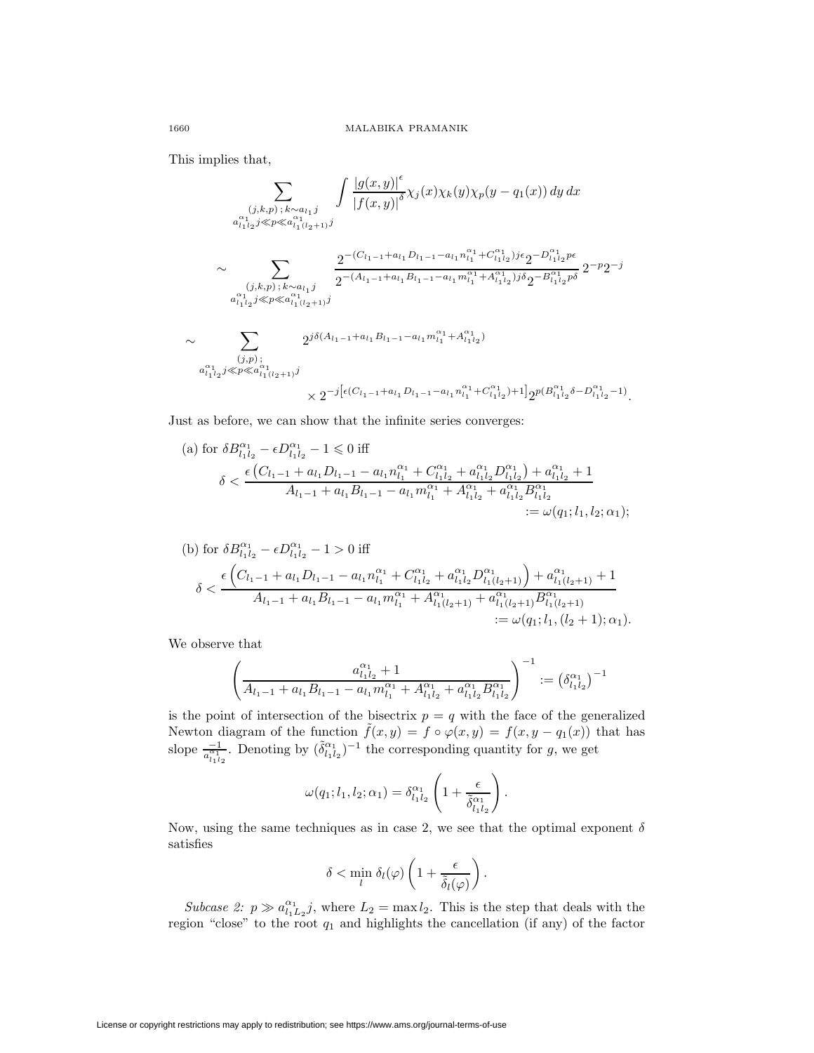This implies that,

$$
\sum_{\substack{(j,k,p)\,;\,k\sim a_{l_1}j\\ a_{l_1l_2j}\ll p\ll a_{l_1(l_2+1)}^{a_{l_1l_2j}\ll p\ll a_{l_1(l_2+1)}^{a_{l_1l_2j}}j}} \int \frac{|g(x,y)|^{\epsilon}}{|f(x,y)|^{\delta}} \chi_j(x)\chi_k(y)\chi_p(y-q_1(x))\,dy\,dx
$$
\n
$$
\sim \sum_{\substack{(j,k,p)\,;\,k\sim a_{l_1}j\\ a_{l_1l_2j}\ll p\ll a_{l_1(l_2+1)}^{a_{l_1l_2j}}j}} \frac{2^{-(C_{l_1-1}+a_{l_1}D_{l_1-1}-a_{l_1}n_{l_1}^{\alpha_1}+C_{l_1l_2}^{\alpha_1})j\epsilon}2^{-D_{l_1l_2}^{\alpha_1}p\epsilon}}{2^{-p}2^{-j}}
$$
\n
$$
\sim \sum_{\substack{(j,p)\,;\,k\sim a_{l_1(l_2+1)}j\\ a_{l_1l_2j}\ll p\ll a_{l_1(l_2+1)}^{a_{l_1l_2j}}j}} 2^{j\delta(A_{l_1-1}+a_{l_1}B_{l_1-1}-a_{l_1}m_{l_1}^{\alpha_1}+A_{l_1l_2}^{\alpha_1})}
$$
\n
$$
\times 2^{-j\left[\epsilon(C_{l_1-1}+a_{l_1}D_{l_1-1}-a_{l_1}n_{l_1}^{\alpha_1}+C_{l_1l_2}^{\alpha_1})+1\right]2^{p(B_{l_1l_2}^{\alpha_1}\delta-D_{l_1l_2}^{\alpha_1}-1)}.
$$

Just as before, we can show that the infinite series converges:

(a) for 
$$
\delta B_{l_1l_2}^{\alpha_1} - \epsilon D_{l_1l_2}^{\alpha_1} - 1 \le 0
$$
 iff  
\n
$$
\delta < \frac{\epsilon (C_{l_1-1} + a_{l_1}D_{l_1-1} - a_{l_1}n_{l_1}^{\alpha_1} + C_{l_1l_2}^{\alpha_1} + a_{l_1l_2}^{\alpha_1}D_{l_1l_2}^{\alpha_1}) + a_{l_1l_2}^{\alpha_1} + 1}{A_{l_1-1} + a_{l_1}B_{l_1-1} - a_{l_1}m_{l_1}^{\alpha_1} + A_{l_1l_2}^{\alpha_1} + a_{l_1l_2}^{\alpha_1}B_{l_1l_2}^{\alpha_1}
$$
\n
$$
:= \omega(q_1; l_1, l_2; \alpha_1);
$$

(b) for 
$$
\delta B_{l_1l_2}^{\alpha_1} - \epsilon D_{l_1l_2}^{\alpha_1} - 1 > 0
$$
 iff  
\n
$$
\delta < \frac{\epsilon \left( C_{l_1-1} + a_{l_1} D_{l_1-1} - a_{l_1} n_{l_1}^{\alpha_1} + C_{l_1l_2}^{\alpha_1} + a_{l_1l_2}^{\alpha_1} D_{l_1(l_2+1)}^{\alpha_1} \right) + a_{l_1(l_2+1)}^{\alpha_1} + 1}{A_{l_1-1} + a_{l_1} B_{l_1-1} - a_{l_1} m_{l_1}^{\alpha_1} + A_{l_1(l_2+1)}^{\alpha_1} + a_{l_1(l_2+1)}^{\alpha_1} B_{l_1(l_2+1)}^{\alpha_1}} := \omega(q_1; l_1, (l_2+1); \alpha_1).
$$

We observe that

$$
\left(\frac{a_{l_1l_2}^{\alpha_1}+1}{A_{l_1-1}+a_{l_1}B_{l_1-1}-a_{l_1}m_{l_1}^{\alpha_1}+A_{l_1l_2}^{\alpha_1}+a_{l_1l_2}^{\alpha_1}B_{l_1l_2}^{\alpha_1}}\right)^{-1} := \left(\delta_{l_1l_2}^{\alpha_1}\right)^{-1}
$$

is the point of intersection of the bisectrix  $p = q$  with the face of the generalized Newton diagram of the function  $\tilde{f}(x, y) = f \circ \varphi(x, y) = f(x, y - q_1(x))$  that has slope  $\frac{-1}{a_{i_1i_2}}$ . Denoting by  $(\tilde{\delta}_{l_1l_2}^{\alpha_1})^{-1}$  the corresponding quantity for g, we get

$$
\omega(q_1;l_1,l_2;\alpha_1)=\delta_{l_1l_2}^{\alpha_1}\left(1+\frac{\epsilon}{\tilde{\delta}_{l_1l_2}^{\alpha_1}}\right).
$$

Now, using the same techniques as in case 2, we see that the optimal exponent  $\delta$ satisfies

$$
\delta < \min_l \delta_l(\varphi) \left( 1 + \frac{\epsilon}{\tilde{\delta}_l(\varphi)} \right).
$$

Subcase 2:  $p \gg a_{l_1L_2}^{\alpha_1} j$ , where  $L_2 = \max l_2$ . This is the step that deals with the region "close" to the root  $q_1$  and highlights the cancellation (if any) of the factor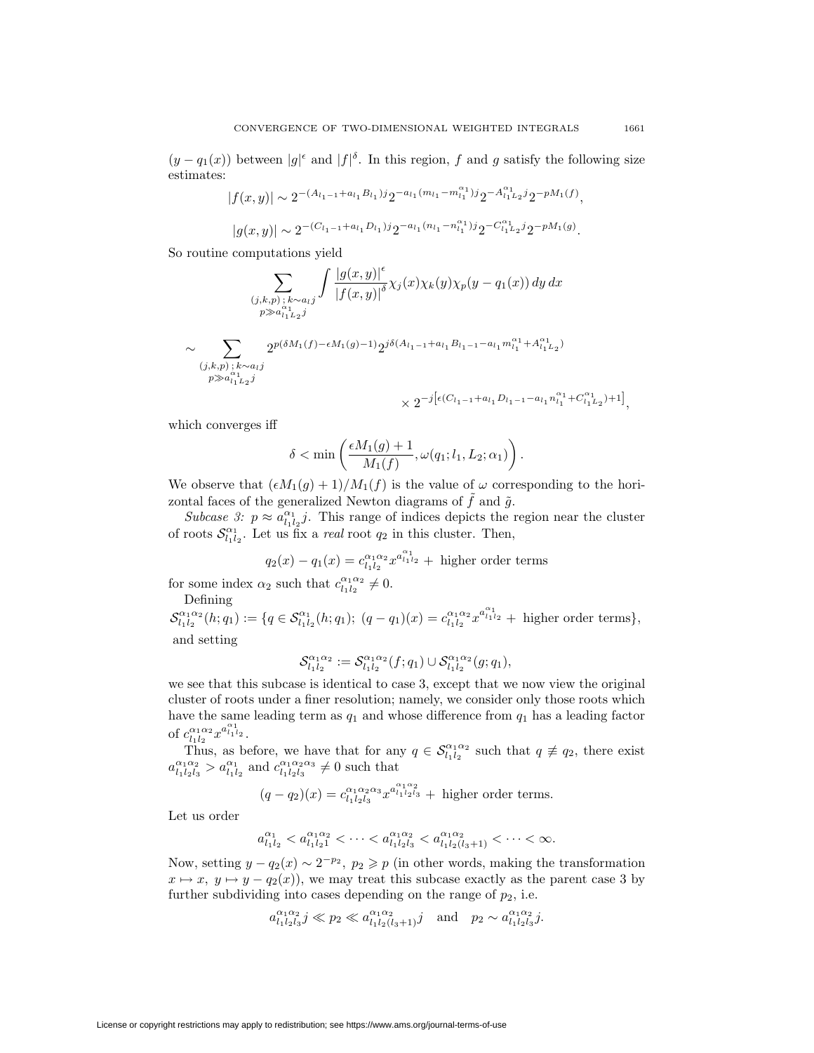$(y - q_1(x))$  between  $|g|^{\epsilon}$  and  $|f|^{\delta}$ . In this region, f and g satisfy the following size estimates:

$$
|f(x,y)| \sim 2^{-(A_{l_1-1}+a_{l_1}B_{l_1})j} 2^{-a_{l_1}(m_{l_1}-m_{l_1}^{\alpha_1})j} 2^{-A_{l_1L_2}^{\alpha_1}j} 2^{-pM_1(f)},
$$
  

$$
|g(x,y)| \sim 2^{-(C_{l_1-1}+a_{l_1}D_{l_1})j} 2^{-a_{l_1}(n_{l_1}-n_{l_1}^{\alpha_1})j} 2^{-C_{l_1L_2}^{\alpha_1}j} 2^{-pM_1(g)}.
$$

So routine computations yield

$$
\sum_{\substack{(j,k,p) \, ; \, k \sim a_l j \\ p \gg a_{l_1l_2j}^{\alpha_1} j}} \int \frac{|g(x,y)|^{\epsilon}}{|f(x,y)|^{\delta}} \chi_j(x) \chi_k(y) \chi_p(y - q_1(x)) dy dx
$$
  

$$
\sim \sum_{\substack{(j,k,p) \, ; \, k \sim a_l j \\ p \gg a_{l_1l_2j}^{\alpha_1} j}} 2^{p(\delta M_1(f) - \epsilon M_1(g) - 1)} 2^{j\delta (A_{l_1 - 1} + a_{l_1} B_{l_1 - 1} - a_{l_1} m_{l_1}^{\alpha_1} + A_{l_1l_2}^{\alpha_1})}
$$
  

$$
\times 2^{-j [\epsilon (C_{l_1 - 1} + a_{l_1} D_{l_1 - 1} - a_{l_1} n_{l_1}^{\alpha_1} + C_{l_1l_2}^{\alpha_1}) + 1]},
$$

which converges iff

$$
\delta<\min\left(\frac{\epsilon M_1(g)+1}{M_1(f)},\omega(q_1;l_1,L_2;\alpha_1)\right).
$$

We observe that  $(\epsilon M_1(g) + 1)/M_1(f)$  is the value of  $\omega$  corresponding to the horizontal faces of the generalized Newton diagrams of  $\tilde{f}$  and  $\tilde{g}$ .

Subcase 3:  $p \approx a_{l_1l_2}^{\alpha_1}j$ . This range of indices depicts the region near the cluster of roots  $\mathcal{S}_{l_1l_2}^{\alpha_1}$ . Let us fix a *real* root  $q_2$  in this cluster. Then,

$$
q_2(x) - q_1(x) = c_{l_1 l_2}^{\alpha_1 \alpha_2} x^{a_{l_1 l_2}^{\alpha_1}} +
$$
 higher order terms

for some index  $\alpha_2$  such that  $c_{l_1l_2}^{\alpha_1\alpha_2} \neq 0$ .

Defining

 $\mathcal{S}_{l_1l_2}^{\alpha_1\alpha_2}(h;q_1) := \{q \in \mathcal{S}_{l_1l_2}^{\alpha_1}(h;q_1); (q-q_1)(x) = c_{l_1l_2}^{\alpha_1\alpha_2}x^{a_{l_1l_2}} + \text{ higher order terms}\},\$ and setting

$$
\mathcal{S}_{l_1l_2}^{\alpha_1\alpha_2} := \mathcal{S}_{l_1l_2}^{\alpha_1\alpha_2}(f;q_1) \cup \mathcal{S}_{l_1l_2}^{\alpha_1\alpha_2}(g;q_1),
$$

we see that this subcase is identical to case 3, except that we now view the original cluster of roots under a finer resolution; namely, we consider only those roots which have the same leading term as  $q_1$  and whose difference from  $q_1$  has a leading factor of  $c_{l_1l_2}^{\alpha_1\alpha_2}x^{a_{l_1l_2}^{\alpha_1}}$ .

Thus, as before, we have that for any  $q \in S_{l_1 l_2}^{\alpha_1 \alpha_2}$  such that  $q \neq q_2$ , there exist  $a_{l_1l_2l_3}^{\alpha_1\alpha_2} > a_{l_1l_2}^{\alpha_1}$  and  $c_{l_1l_2l_3}^{\alpha_1\alpha_2\alpha_3} \neq 0$  such that

$$
(q - q_2)(x) = c_{l_1 l_2 l_3}^{\alpha_1 \alpha_2 \alpha_3} x^{a_{l_1 l_2 l_3}^{\alpha_1 \alpha_2}} +
$$
 higher order terms.

Let us order

$$
a_{l_1l_2}^{\alpha_1} < a_{l_1l_21}^{\alpha_1\alpha_2} < \cdots < a_{l_1l_2l_3}^{\alpha_1\alpha_2} < a_{l_1l_2(l_3+1)}^{\alpha_1\alpha_2} < \cdots < \infty.
$$

Now, setting  $y - q_2(x) \sim 2^{-p_2}$ ,  $p_2 \geq p$  (in other words, making the transformation  $x \mapsto x$ ,  $y \mapsto y - q_2(x)$ , we may treat this subcase exactly as the parent case 3 by further subdividing into cases depending on the range of  $p_2$ , i.e.

$$
a_{l_1l_2l_3}^{\alpha_1\alpha_2}j \ll p_2 \ll a_{l_1l_2(l_3+1)}^{\alpha_1\alpha_2}j
$$
 and  $p_2 \sim a_{l_1l_2l_3}^{\alpha_1\alpha_2}j$ .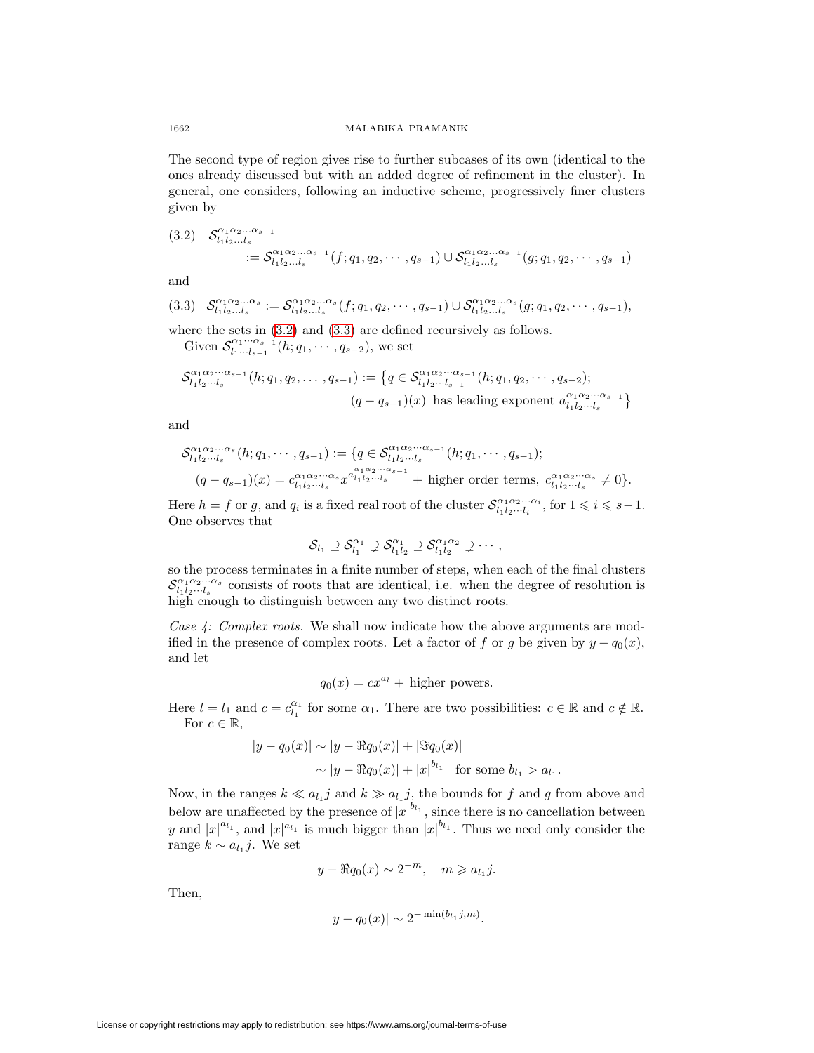The second type of region gives rise to further subcases of its own (identical to the ones already discussed but with an added degree of refinement in the cluster). In general, one considers, following an inductive scheme, progressively finer clusters given by

<span id="page-11-0"></span>
$$
(3.2) \quad \mathcal{S}_{l_1 l_2 \dots l_s}^{\alpha_1 \alpha_2 \dots \alpha_{s-1}} = \mathcal{S}_{l_1 l_2 \dots l_s}^{\alpha_1 \alpha_2 \dots \alpha_{s-1}}(f; q_1, q_2, \cdots, q_{s-1}) \cup \mathcal{S}_{l_1 l_2 \dots l_s}^{\alpha_1 \alpha_2 \dots \alpha_{s-1}}(g; q_1, q_2, \cdots, q_{s-1})
$$

<span id="page-11-1"></span>and

$$
(3.3) \quad \mathcal{S}_{l_1l_2...l_s}^{\alpha_1\alpha_2... \alpha_s} := \mathcal{S}_{l_1l_2...l_s}^{\alpha_1\alpha_2... \alpha_s}(f; q_1, q_2, \cdots, q_{s-1}) \cup \mathcal{S}_{l_1l_2...l_s}^{\alpha_1\alpha_2... \alpha_s}(g; q_1, q_2, \cdots, q_{s-1}),
$$

where the sets in  $(3.2)$  and  $(3.3)$  are defined recursively as follows.

Given  $\mathcal{S}_{l_1\cdots l_{s-1}}^{\alpha_1\cdots\alpha_{s-1}}(h;q_1,\cdots,q_{s-2}),$  we set

$$
\mathcal{S}_{l_1l_2\cdots l_s}^{\alpha_1\alpha_2\cdots\alpha_{s-1}}(h;q_1,q_2,\ldots,q_{s-1}) := \left\{ q \in \mathcal{S}_{l_1l_2\cdots l_{s-1}}^{\alpha_1\alpha_2\cdots\alpha_{s-1}}(h;q_1,q_2,\cdots,q_{s-2});\right.\n \left. (q-q_{s-1})(x) \text{ has leading exponent } a_{l_1l_2\cdots l_s}^{\alpha_1\alpha_2\cdots\alpha_{s-1}} \right\}
$$

and

$$
\mathcal{S}_{l_1l_2\cdots l_s}^{\alpha_1\alpha_2\cdots\alpha_s}(h;q_1,\cdots,q_{s-1}) := \{q \in \mathcal{S}_{l_1l_2\cdots l_s}^{\alpha_1\alpha_2\cdots\alpha_{s-1}}(h;q_1,\cdots,q_{s-1});(q-q_{s-1})(x) = c_{l_1l_2\cdots l_s}^{\alpha_1\alpha_2\cdots\alpha_s}x^{a_{l_1l_2\cdots l_s}} + \text{higher order terms}, c_{l_1l_2\cdots l_s}^{\alpha_1\alpha_2\cdots\alpha_s} \neq 0\}.
$$

Here  $h = f$  or g, and  $q_i$  is a fixed real root of the cluster  $\mathcal{S}_{l_1 l_2 \cdots l_i}^{\alpha_1 \alpha_2 \cdots \alpha_i}$ , for  $1 \leq i \leq s-1$ . One observes that

$$
\mathcal{S}_{l_1} \supseteq \mathcal{S}_{l_1}^{\alpha_1} \supsetneq \mathcal{S}_{l_1l_2}^{\alpha_1} \supseteq \mathcal{S}_{l_1l_2}^{\alpha_1\alpha_2} \supsetneq \cdots,
$$

so the process terminates in a finite number of steps, when each of the final clusters  $\mathcal{S}_{i_1 i_2 \cdots i_s}^{\alpha_1 \alpha_2 \cdots \alpha_s}$  consists of roots that are identical, i.e. when the degree of resolution is high enough to distinguish between any two distinct roots.

Case 4: Complex roots. We shall now indicate how the above arguments are modified in the presence of complex roots. Let a factor of f or g be given by  $y - q_0(x)$ , and let

$$
q_0(x) = cx^{a_l} + \text{higher powers.}
$$

Here  $l = l_1$  and  $c = c_{l_1}^{\alpha_1}$  for some  $\alpha_1$ . There are two possibilities:  $c \in \mathbb{R}$  and  $c \notin \mathbb{R}$ . For  $c \in \mathbb{R}$ ,

$$
|y - q_0(x)| \sim |y - \Re q_0(x)| + |\Im q_0(x)|
$$
  
 
$$
\sim |y - \Re q_0(x)| + |x|^{b_{l_1}} \text{ for some } b_{l_1} > a_{l_1}.
$$

Now, in the ranges  $k \ll a_{l_1} j$  and  $k \gg a_{l_1} j$ , the bounds for f and g from above and below are unaffected by the presence of  $|x|^{b_{l_1}}$ , since there is no cancellation between y and  $|x|^{a_{l_1}}$ , and  $|x|^{a_{l_1}}$  is much bigger than  $|x|^{b_{l_1}}$ . Thus we need only consider the range  $k \sim a_{l_1} j$ . We set

$$
y - \Re q_0(x) \sim 2^{-m}, \quad m \geqslant a_{l_1} j.
$$

Then,

$$
|y - q_0(x)| \sim 2^{-\min(b_{l_1}j, m)}.
$$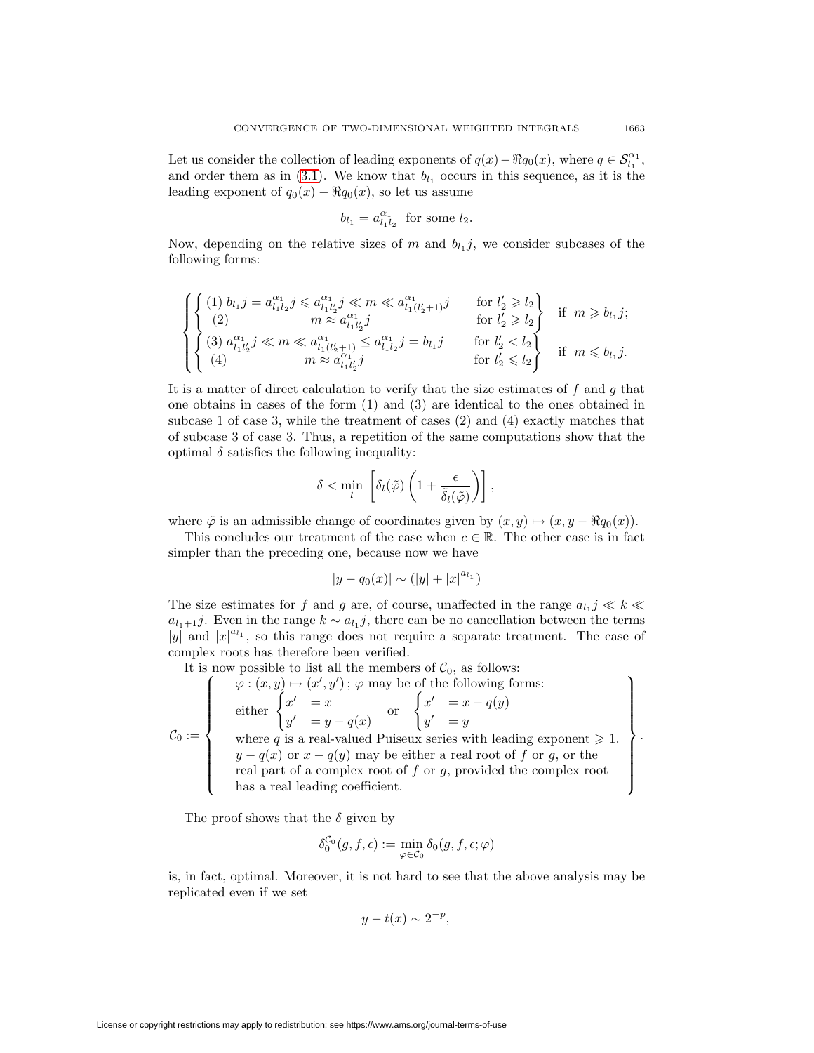Let us consider the collection of leading exponents of  $q(x) - \Re q_0(x)$ , where  $q \in S^{\alpha_1}_{l_1}$ , and order them as in [\(3.1\)](#page-8-0). We know that  $b_{l_1}$  occurs in this sequence, as it is the leading exponent of  $q_0(x) - \Re q_0(x)$ , so let us assume

$$
b_{l_1} = a_{l_1 l_2}^{\alpha_1} \text{ for some } l_2.
$$

Now, depending on the relative sizes of m and  $b_{l_1}j$ , we consider subcases of the following forms:

$$
\left\{\begin{aligned} &\left\{ \begin{aligned} &(1)\; b_{l_1}j=a_{l_1l_2}^{\alpha_1}j\leqslant a_{l_1l_2'}^{\alpha_1}j\ll m\ll a_{l_1l_2'j}^{\alpha_1}j & \text{for } l_2'\geqslant l_2 \\ &(2) & m\approx a_{l_1l_2'j}^{\alpha_1}j & \text{for } l_2'\geqslant l_2 \\ &(3)\; a_{l_1l_2'}^{\alpha_1}j\ll m\ll a_{l_1(l_2'+1)}^{\alpha_1}j\leqslant a_{l_1l_2}^{\alpha_1}j =b_{l_1}j & \text{for } l_2'
$$

It is a matter of direct calculation to verify that the size estimates of  $f$  and  $g$  that one obtains in cases of the form (1) and (3) are identical to the ones obtained in subcase 1 of case 3, while the treatment of cases (2) and (4) exactly matches that of subcase 3 of case 3. Thus, a repetition of the same computations show that the optimal  $\delta$  satisfies the following inequality:

$$
\delta < \min_l \left[ \delta_l(\tilde \varphi) \left( 1 + \frac{\epsilon}{\tilde \delta_l(\tilde \varphi)} \right) \right],
$$

where  $\tilde{\varphi}$  is an admissible change of coordinates given by  $(x, y) \mapsto (x, y - \Re q_0(x)).$ 

This concludes our treatment of the case when  $c \in \mathbb{R}$ . The other case is in fact simpler than the preceding one, because now we have

$$
|y - q_0(x)| \sim (|y| + |x|^{a_{l_1}})
$$

The size estimates for f and g are, of course, unaffected in the range  $a_{l_1} j \ll k \ll$  $a_{l_1+1}j$ . Even in the range  $k \sim a_{l_1}j$ , there can be no cancellation between the terms |y| and  $|x|^{a_{l_1}}$ , so this range does not require a separate treatment. The case of complex roots has therefore been verified.

It is now possible to list all the members of  $\mathcal{C}_0$ , as follows:<br>  $\left(\begin{array}{c} \varphi:(x,y)\mapsto(x',y')\,;\,\varphi\text{ may be of the following forms:}\end{array}\right)$ 

$$
\mathcal{C}_0 := \left\{\begin{array}{c} \varphi : (x, y) \mapsto (x', y') \, ; \, \varphi \text{ may be of the following forms: } \\ \text{either } \begin{cases} x' & = x \\ y' & = y - q(x) \end{cases} \text{ or } \begin{cases} x' & = x - q(y) \\ y' & = y \end{cases} \\ \text{where } q \text{ is a real-valued Puiseux series with leading exponent } \geq 1. \\ y - q(x) \text{ or } x - q(y) \text{ may be either a real root of } f \text{ or } g, \text{ or the real part of a complex root of } f \text{ or } g, \text{ provided the complex root} \\ \text{has a real leading coefficient.} \end{array} \right\}
$$

The proof shows that the  $\delta$  given by

$$
\delta_0^{\mathcal{C}_0}(g, f, \epsilon) := \min_{\varphi \in \mathcal{C}_0} \delta_0(g, f, \epsilon; \varphi)
$$

is, in fact, optimal. Moreover, it is not hard to see that the above analysis may be replicated even if we set

$$
y - t(x) \sim 2^{-p},
$$

.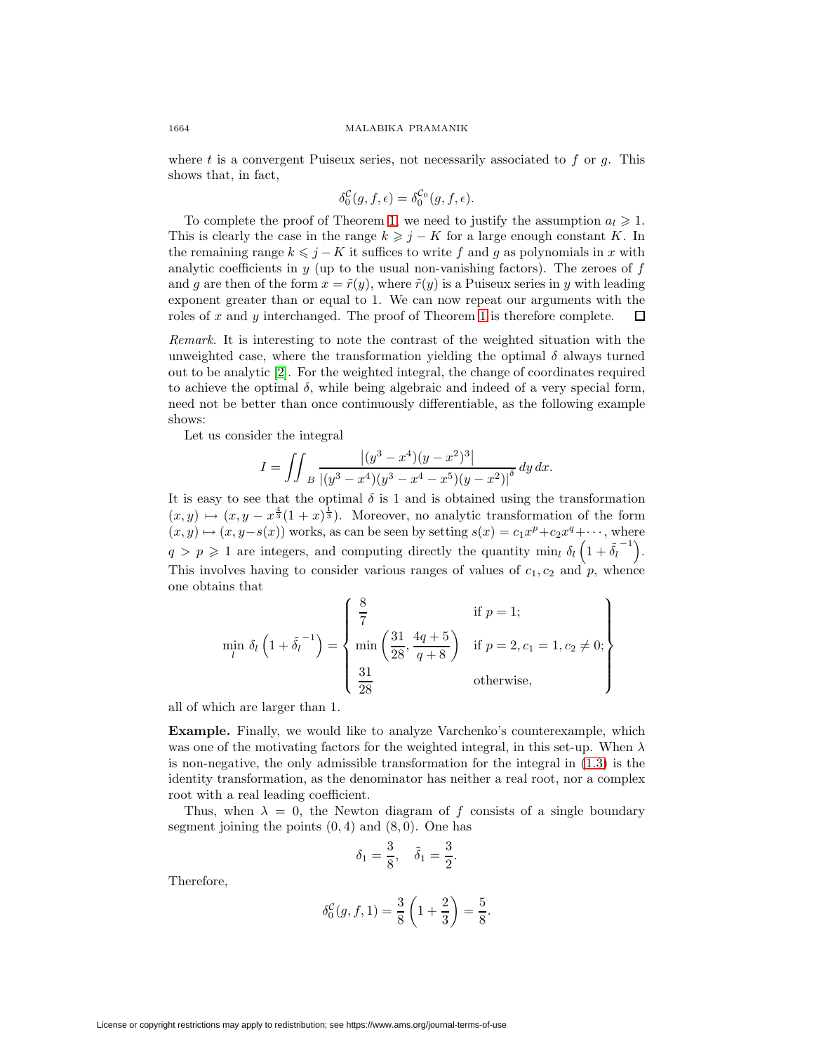where  $t$  is a convergent Puiseux series, not necessarily associated to  $f$  or  $g$ . This shows that, in fact,

$$
\delta_0^{\mathcal{C}}(g, f, \epsilon) = \delta_0^{\mathcal{C}_0}(g, f, \epsilon).
$$

To complete the proof of Theorem 1, we need to justify the assumption  $a_l \geq 1$ . This is clearly the case in the range  $k \geq j - K$  for a large enough constant K. In the remaining range  $k \leq j - K$  it suffices to write f and g as polynomials in x with analytic coefficients in  $y$  (up to the usual non-vanishing factors). The zeroes of  $f$ and g are then of the form  $x = \tilde{r}(y)$ , where  $\tilde{r}(y)$  is a Puiseux series in y with leading exponent greater than or equal to 1. We can now repeat our arguments with the roles of x and y interchanged. The proof of Theorem 1 is therefore complete. 口

Remark. It is interesting to note the contrast of the weighted situation with the unweighted case, where the transformation yielding the optimal  $\delta$  always turned out to be analytic [\[2\]](#page-14-0). For the weighted integral, the change of coordinates required to achieve the optimal  $\delta$ , while being algebraic and indeed of a very special form, need not be better than once continuously differentiable, as the following example shows:

Let us consider the integral

$$
I = \iint_{B} \frac{\left| (y^3 - x^4)(y - x^2)^3 \right|}{\left| (y^3 - x^4)(y^3 - x^4 - x^5)(y - x^2) \right|^{\delta}} dy dx.
$$

It is easy to see that the optimal  $\delta$  is 1 and is obtained using the transformation  $(x, y) \mapsto (x, y - x^{\frac{4}{3}}(1 + x)^{\frac{1}{3}})$ . Moreover, no analytic transformation of the form  $(x, y) \mapsto (x, y-s(x))$  works, as can be seen by setting  $s(x) = c_1x^p+c_2x^q+\cdots$ , where  $q > p \geq 1$  are integers, and computing directly the quantity min<sub>l</sub>  $\delta_l (1 + \tilde{\delta_l}^{-1})$ . This involves having to consider various ranges of values of  $c_1, c_2$  and  $p$ , whence one obtains that

$$
\min_{l} \delta_{l} \left( 1 + \tilde{\delta}_{l}^{-1} \right) = \begin{cases} \frac{8}{7} & \text{if } p = 1; \\ \min \left( \frac{31}{28}, \frac{4q+5}{q+8} \right) & \text{if } p = 2, c_{1} = 1, c_{2} \neq 0; \\ \frac{31}{28} & \text{otherwise,} \end{cases}
$$

all of which are larger than 1.

**Example.** Finally, we would like to analyze Varchenko's counterexample, which was one of the motivating factors for the weighted integral, in this set-up. When  $\lambda$ is non-negative, the only admissible transformation for the integral in [\(1.3\)](#page-1-0) is the identity transformation, as the denominator has neither a real root, nor a complex root with a real leading coefficient.

Thus, when  $\lambda = 0$ , the Newton diagram of f consists of a single boundary segment joining the points  $(0, 4)$  and  $(8, 0)$ . One has

$$
\delta_1=\frac{3}{8},\quad \tilde{\delta}_1=\frac{3}{2}.
$$

Therefore,

$$
\delta_0^{\mathcal{C}}(g, f, 1) = \frac{3}{8} \left( 1 + \frac{2}{3} \right) = \frac{5}{8}.
$$